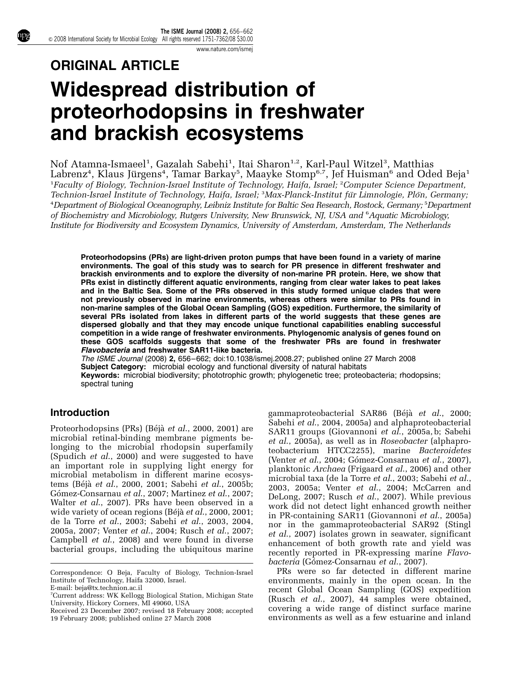#### [www.nature.com/ismej](http://www.nature.com/ismej)

# ORIGINAL ARTICLE Widespread distribution of proteorhodopsins in freshwater and brackish ecosystems

Nof Atamna-Ismaeel<sup>1</sup>, Gazalah Sabehi<sup>1</sup>, Itai Sharon<sup>1,2</sup>, Karl-Paul Witzel<sup>3</sup>, Matthias Labrenz<sup>4</sup>, Klaus Jürgens<sup>4</sup>, Tamar Barkay<sup>5</sup>, Maayke Stomp<sup>6,7</sup>, Jef Huisman<sup>6</sup> and Oded Beja<sup>1</sup> <sup>1</sup>Faculty of Biology, Technion-Israel Institute of Technology, Haifa, Israel; <sup>2</sup>Computer Science Department, Technion-Israel Institute of Technology, Haifa, Israel; <sup>3</sup>Max-Planck-Institut für Limnologie, Plön, Germany; 4 Department of Biological Oceanography, Leibniz Institute for Baltic Sea Research, Rostock, Germany; <sup>5</sup> Department of Biochemistry and Microbiology, Rutgers University, New Brunswick, NJ, USA and <sup>6</sup>Aquatic Microbiology, Institute for Biodiversity and Ecosystem Dynamics, University of Amsterdam, Amsterdam, The Netherlands

Proteorhodopsins (PRs) are light-driven proton pumps that have been found in a variety of marine environments. The goal of this study was to search for PR presence in different freshwater and brackish environments and to explore the diversity of non-marine PR protein. Here, we show that PRs exist in distinctly different aquatic environments, ranging from clear water lakes to peat lakes and in the Baltic Sea. Some of the PRs observed in this study formed unique clades that were not previously observed in marine environments, whereas others were similar to PRs found in non-marine samples of the Global Ocean Sampling (GOS) expedition. Furthermore, the similarity of several PRs isolated from lakes in different parts of the world suggests that these genes are dispersed globally and that they may encode unique functional capabilities enabling successful competition in a wide range of freshwater environments. Phylogenomic analysis of genes found on these GOS scaffolds suggests that some of the freshwater PRs are found in freshwater Flavobacteria and freshwater SAR11-like bacteria.

The ISME Journal (2008) 2, 656–662; doi[:10.1038/ismej.2008.27](http://dx.doi.org/10.1038/ismej.2008.27); published online 27 March 2008 Subject Category: microbial ecology and functional diversity of natural habitats Keywords: microbial biodiversity; phototrophic growth; phylogenetic tree; proteobacteria; rhodopsins; spectral tuning

## Introduction

Proteorhodopsins (PRs) (Béjà et al[., 2000, 2001\)](#page-5-0) are microbial retinal-binding membrane pigments belonging to the microbial rhodopsin superfamily ([Spudich](#page-5-0) et al., 2000) and were suggested to have an important role in supplying light energy for microbial metabolism in different marine ecosys-tems (Béjà et al[., 2000, 2001;](#page-5-0) Sabehi et al[., 2005b;](#page-5-0) Gómez-Consarnau et al., 2007; [Martinez](#page-5-0) et al., 2007; Walter et al[., 2007](#page-6-0)). PRs have been observed in a wide variety of ocean regions (Béjà et al[., 2000, 2001;](#page-5-0) [de la Torre](#page-5-0) et al., 2003; Sabehi et al[., 2003, 2004,](#page-5-0) [2005a, 2007;](#page-5-0) Venter et al[., 2004;](#page-5-0) Rusch et al[., 2007;](#page-5-0) [Campbell](#page-5-0) et al., 2008) and were found in diverse bacterial groups, including the ubiquitous marine gammaproteobacterial SAR86 (Béjà et al[., 2000;](#page-5-0) Sabehi et al[., 2004, 2005a\)](#page-5-0) and alphaproteobacterial SAR11 groups [\(Giovannoni](#page-5-0) et al., 2005a, b; [Sabehi](#page-5-0) et al[., 2005a](#page-5-0)), as well as in Roseobacter (alphaproteobacterium HTCC2255), marine Bacteroidetes (Venter et al[., 2004](#page-5-0); Gómez-Consarnau et al., 2007), planktonic Archaea ([Frigaard](#page-5-0) et al., 2006) and other microbial taxa [\(de la Torre](#page-5-0) et al., 2003; [Sabehi](#page-5-0) et al., [2003, 2005a;](#page-5-0) Venter et al[., 2004; McCarren and](#page-5-0) [DeLong, 2007;](#page-5-0) Rusch et al[., 2007](#page-5-0)). While previous work did not detect light enhanced growth neither in PR-containing SAR11 [\(Giovannoni](#page-5-0) et al., 2005a) nor in the gammaproteobacterial SAR92 [\(Stingl](#page-5-0) et al[., 2007](#page-5-0)) isolates grown in seawater, significant enhancement of both growth rate and yield was recently reported in PR-expressing marine Flavo*bacteria* (Gómez-Consarnau *et al.*, 2007).

PRs were so far detected in different marine environments, mainly in the open ocean. In the recent Global Ocean Sampling (GOS) expedition (Rusch et al[., 2007](#page-5-0)), 44 samples were obtained, covering a wide range of distinct surface marine Received 23 December 2007; revised 18 February 2008; accepted covering a wide range of distinct surface marine<br>19 February 2008; published online 27 March 2008 environments as well as a few estuarine and inland

Correspondence: O Beja, Faculty of Biology, Technion-Israel Institute of Technology, Haifa 32000, Israel. E-mail: [beja@tx.technion.ac.il](mailto:beja@tx.technion.ac.il)

<sup>7</sup> Current address: WK Kellogg Biological Station, Michigan State University, Hickory Corners, MI 49060, USA

<sup>19</sup> February 2008; published online 27 March 2008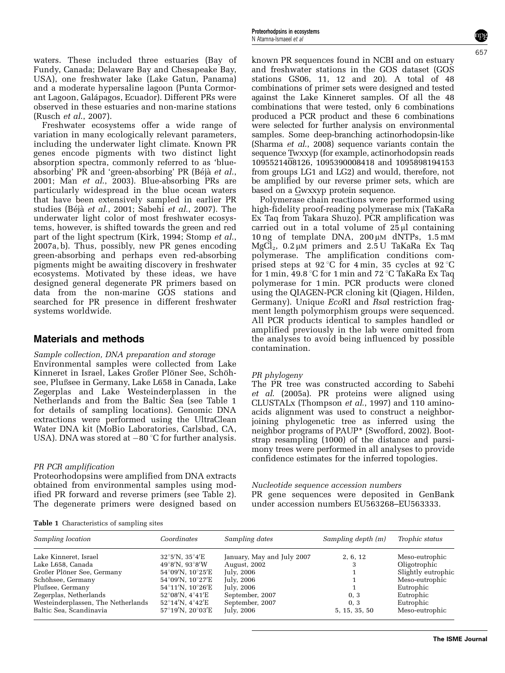waters. These included three estuaries (Bay of Fundy, Canada; Delaware Bay and Chesapeake Bay, USA), one freshwater lake (Lake Gatun, Panama) and a moderate hypersaline lagoon (Punta Cormorant Lagoon, Galápagos, Ecuador). Different PRs were observed in these estuaries and non-marine stations (Rusch et al[., 2007\)](#page-5-0).

Freshwater ecosystems offer a wide range of variation in many ecologically relevant parameters, including the underwater light climate. Known PR genes encode pigments with two distinct light absorption spectra, commonly referred to as 'blueabsorbing' PR and 'green-absorbing' PR (Béjà [et al](#page-5-0)., [2001;](#page-5-0) Man et al[., 2003](#page-5-0)). Blue-absorbing PRs are particularly widespread in the blue ocean waters that have been extensively sampled in earlier PR studies (Béjà et al[., 2001](#page-5-0); Sabehi et al[., 2007\)](#page-5-0). The underwater light color of most freshwater ecosystems, however, is shifted towards the green and red part of the light spectrum [\(Kirk, 1994](#page-5-0); [Stomp](#page-5-0) et al., [2007a, b\)](#page-5-0). Thus, possibly, new PR genes encoding green-absorbing and perhaps even red-absorbing pigments might be awaiting discovery in freshwater ecosystems. Motivated by these ideas, we have designed general degenerate PR primers based on data from the non-marine GOS stations and searched for PR presence in different freshwater systems worldwide.

## Materials and methods

## Sample collection, DNA preparation and storage

Environmental samples were collected from Lake Kinneret in Israel, Lakes Großer Plöner See, Schöhsee, Plußsee in Germany, Lake L658 in Canada, Lake Zegerplas and Lake Westeinderplassen in the Netherlands and from the Baltic Sea (see Table 1 for details of sampling locations). Genomic DNA extractions were performed using the UltraClean Water DNA kit (MoBio Laboratories, Carlsbad, CA, USA). DNA was stored at  $-80$  °C for further analysis.

## PR PCR amplification

Proteorhodopsins were amplified from DNA extracts obtained from environmental samples using modified PR forward and reverse primers (see [Table 2\)](#page-2-0). The degenerate primers were designed based on

known PR sequences found in NCBI and on estuary and freshwater stations in the GOS dataset (GOS stations GS06, 11, 12 and 20). A total of 48 combinations of primer sets were designed and tested against the Lake Kinneret samples. Of all the 48 combinations that were tested, only 6 combinations produced a PCR product and these 6 combinations were selected for further analysis on environmental samples. Some deep-branching actinorhodopsin-like [\(Sharma](#page-5-0) et al., 2008) sequence variants contain the sequence Twxxyp (for example, actinorhodopsin reads 1095521408126, 1095390008418 and 1095898194153 from groups LG1 and LG2) and would, therefore, not be amplified by our reverse primer sets, which are based on a Gwxxyp protein sequence.

Polymerase chain reactions were performed using high-fidelity proof-reading polymerase mix (TaKaRa Ex Taq from Takara Shuzo). PCR amplification was carried out in a total volume of  $25 \mu l$  containing 10 ng of template DNA,  $200 \mu M$  dNTPs,  $1.5 \text{ mM}$ MgCl<sub>2</sub>,  $0.2 \mu M$  primers and  $2.5 U$  TaKaRa Ex Taq polymerase. The amplification conditions comprised steps at 92 °C for 4 min, 35 cycles at 92 °C for 1 min,  $49.8 \degree C$  for 1 min and 72  $°C$  TaKaRa Ex Taq polymerase for 1 min. PCR products were cloned using the QIAGEN-PCR cloning kit (Qiagen, Hilden, Germany). Unique EcoRI and RsaI restriction fragment length polymorphism groups were sequenced. All PCR products identical to samples handled or amplified previously in the lab were omitted from the analyses to avoid being influenced by possible contamination.

## PR phylogeny

The PR tree was constructed according to [Sabehi](#page-5-0) et al[. \(2005a\).](#page-5-0) PR proteins were aligned using CLUSTALx ([Thompson](#page-5-0) et al., 1997) and 110 aminoacids alignment was used to construct a neighborjoining phylogenetic tree as inferred using the neighbor programs of PAUP\* [\(Swofford, 2002\)](#page-5-0). Bootstrap resampling (1000) of the distance and parsimony trees were performed in all analyses to provide confidence estimates for the inferred topologies.

Nucleotide sequence accession numbers

PR gene sequences were deposited in GenBank under accession numbers EU563268–EU563333.

Table 1 Characteristics of sampling sites

| Sampling location                  | Coordinates                         | Sampling dates             | Sampling depth (m) | Trophic status     |
|------------------------------------|-------------------------------------|----------------------------|--------------------|--------------------|
| Lake Kinneret, Israel              | $32^{\circ}5'$ N, $35^{\circ}4'E$   | January, May and July 2007 | 2, 6, 12           | Meso-eutrophic     |
| Lake L658, Canada                  | $49^{\circ}8'$ N. $93^{\circ}8'$ W  | August, 2002               | 3                  | Oligotrophic       |
| Großer Plöner See, Germany         | 54°09'N, 10°25'E                    | July, 2006                 |                    | Slightly eutrophic |
| Schöhsee, Germany                  | 54°09'N, 10°27'E                    | July, 2006                 |                    | Meso-eutrophic     |
| Plußsee, Germany                   | 54°11'N, 10°26'E                    | July, 2006                 |                    | Eutrophic          |
| Zegerplas, Netherlands             | $52^{\circ}08'$ N, $4^{\circ}41'E$  | September, 2007            | 0.3                | Eutrophic          |
| Westeinderplassen, The Netherlands | $52^{\circ}14'$ N, $4^{\circ}42'$ E | September, 2007            | 0.3                | Eutrophic          |
| Baltic Sea, Scandinavia            | $57^{\circ}19'$ N, $20^{\circ}03'E$ | July, 2006                 | 5, 15, 35, 50      | Meso-eutrophic     |

**The ISME Journal**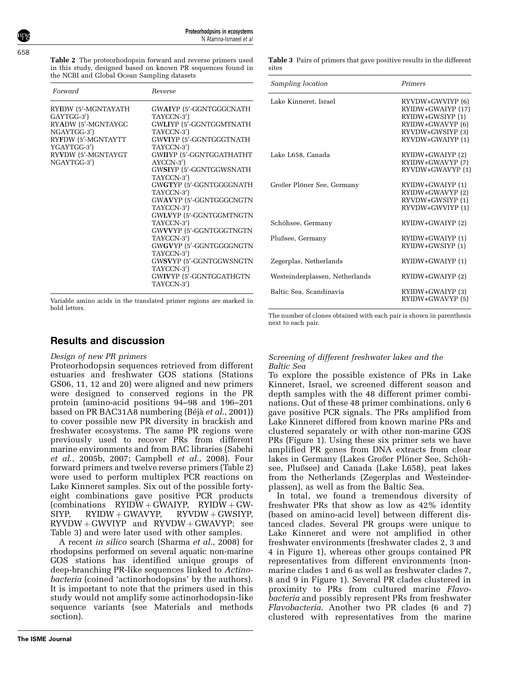<span id="page-2-0"></span>658

Table 2 The proteorhodopsin forward and reverse primers used in this study, designed based on known PR sequences found in the NCBI and Global Ocean Sampling datasets

| Forward                                                                                                                                          | Reverse                                                                                                                                                                                                                                                                                                                                                                                                                                                                                                   |
|--------------------------------------------------------------------------------------------------------------------------------------------------|-----------------------------------------------------------------------------------------------------------------------------------------------------------------------------------------------------------------------------------------------------------------------------------------------------------------------------------------------------------------------------------------------------------------------------------------------------------------------------------------------------------|
| RYIDW (5'-MGNTAYATH<br>GAYTGG-3')<br>RYADW (5'-MGNTAYGC<br>NGAYTGG-3')<br>RYFDW (5'-MGNTAYTT<br>YGAYTGG-3')<br>RYVDW (5'-MGNTAYGT<br>NGAYTGG-3') | GWAIYP (5'-GGNTGGGCNATH<br>TAYCCN-3')<br>GWLIYP (5'-GGNTGGMTNATH<br>TAYCCN-3')<br>GWVIYP (5'-GGNTGGGTNATH<br>TAYCCN-3')<br>GWIIYP (5'-GGNTGGATHATHT<br>$AYCCN-3'$<br>GWSIYP (5'-GGNTGGWSNATH<br>TAYCCN-3')<br>GWGTYP (5'-GGNTGGGGNATH<br>TAYCCN-3')<br>GWAVYP (5'-GGNTGGGCNGTN<br>TAYCCN-3')<br>GWLVYP (5'-GGNTGGMTNGTN<br>TAYCCN-3')<br>GWVVYP (5'-GGNTGGGTNGTN<br>TAYCCN-3')<br>GWGVYP (5'-GGNTGGGGNGTN<br>TAYCCN-3')<br>GWSVYP (5'-GGNTGGWSNGTN<br>TAYCCN-3')<br>GWIVYP (5'-GGNTGGATHGTN<br>TAYCCN-3') |
|                                                                                                                                                  |                                                                                                                                                                                                                                                                                                                                                                                                                                                                                                           |

Variable amino acids in the translated primer regions are marked in bold letters.

## Results and discussion

## Design of new PR primers

Proteorhodopsin sequences retrieved from different estuaries and freshwater GOS stations (Stations GS06, 11, 12 and 20) were aligned and new primers were designed to conserved regions in the PR protein (amino-acid positions 94–98 and 196–201 based on PR BAC31A8 numbering  $(B\acute{e}i\acute{a}et al., 2001)$  $(B\acute{e}i\acute{a}et al., 2001)$ to cover possible new PR diversity in brackish and freshwater ecosystems. The same PR regions were previously used to recover PRs from different marine environments and from BAC libraries [\(Sabehi](#page-5-0) et al[., 2005b, 2007](#page-5-0); [Campbell](#page-5-0) et al., 2008). Four forward primers and twelve reverse primers (Table 2) were used to perform multiplex PCR reactions on Lake Kinneret samples. Six out of the possible fortyeight combinations gave positive PCR products (combinations  $RYIDW + GWAIYP$ ,  $RYIDW + GW-SIYP$ ,  $RYIDW + GWSIYP$ SIYP, RYIDW + GWAVYP, RYVDW + GWSIYP,  $RYVDW + GWVIYP$  and  $RYVDW + GWAVYP$ ; see Table 3) and were later used with other samples.

A recent in silico search [\(Sharma](#page-5-0) et al., 2008) for rhodopsins performed on several aquatic non-marine GOS stations has identified unique groups of deep-branching PR-like sequences linked to Actinobacteria (coined 'actinorhodopsins' by the authors). It is important to note that the primers used in this study would not amplify some actinorhodopsin-like sequence variants (see Materials and methods section).

| Sampling location              | Primers                                                                                                               |
|--------------------------------|-----------------------------------------------------------------------------------------------------------------------|
| Lake Kinneret, Israel          | RYVDW+GWVIYP (6)<br>RYIDW+GWAIYP (17)<br>RYIDW+GWSIYP (1)<br>RYIDW+GWAVYP (6)<br>RYVDW+GWSIYP (3)<br>RYVDW+GWAIYP (1) |
| Lake L658, Canada              | RYIDW+GWAIYP (2)<br>RYIDW+GWAVYP (7)<br>RYVDW+GWAVYP (1)                                                              |
| Großer Plöner See, Germany     | RYIDW+GWAIYP (1)<br>RYIDW+GWAVYP (2)<br>RYVDW+GWSIYP (1)<br>RYVDW+GWVIYP (1)                                          |
| Schöhsee, Germany              | RYIDW+GWAIYP (2)                                                                                                      |
| Plußsee, Germany               | RYIDW+GWAIYP (1)<br>RYIDW+GWSIYP (1)                                                                                  |
| Zegerplas, Netherlands         | RYIDW+GWAIYP (1)                                                                                                      |
| Westeinderplassen, Netherlands | RYIDW+GWAIYP (2)                                                                                                      |
| Baltic Sea. Scandinavia        | RYIDW+GWAIYP (3)<br>RYIDW+GWAVYP (5)                                                                                  |

Table 3 Pairs of primers that gave positive results in the different

The number of clones obtained with each pair is shown in parenthesis next to each pair.

## Screening of different freshwater lakes and the Baltic Sea

To explore the possible existence of PRs in Lake Kinneret, Israel, we screened different season and depth samples with the 48 different primer combinations. Out of these 48 primer combinations, only 6 gave positive PCR signals. The PRs amplified from Lake Kinneret differed from known marine PRs and clustered separately or with other non-marine GOS PRs [\(Figure 1\)](#page-3-0). Using these six primer sets we have amplified PR genes from DNA extracts from clear lakes in Germany (Lakes Großer Plöner See, Schöhsee, Plußsee) and Canada (Lake L658), peat lakes from the Netherlands (Zegerplas and Westeinderplassen), as well as from the Baltic Sea.

In total, we found a tremendous diversity of freshwater PRs that show as low as 42% identity (based on amino-acid level) between different distanced clades. Several PR groups were unique to Lake Kinneret and were not amplified in other freshwater environments (freshwater clades 2, 3 and 4 in [Figure 1](#page-3-0)), whereas other groups contained PR representatives from different environments (nonmarine clades 1 and 6 as well as freshwater clades 7, 8 and 9 in [Figure 1\)](#page-3-0). Several PR clades clustered in proximity to PRs from cultured marine Flavobacteria and possibly represent PRs from freshwater Flavobacteria. Another two PR clades (6 and 7) clustered with representatives from the marine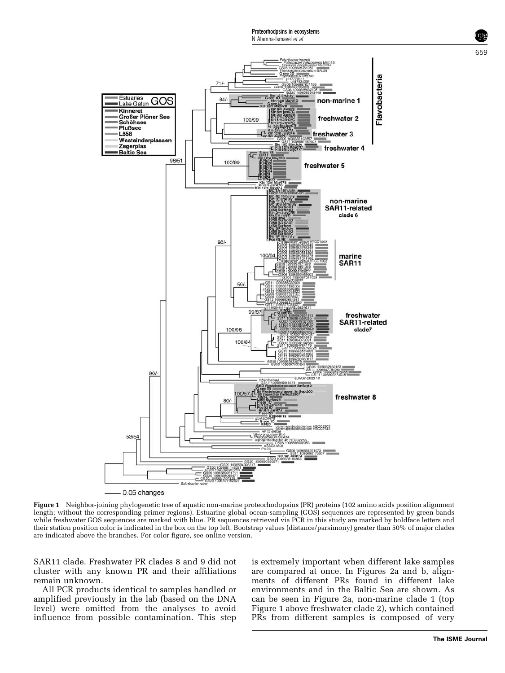659

<span id="page-3-0"></span>

Figure 1 Neighbor-joining phylogenetic tree of aquatic non-marine proteorhodopsins (PR) proteins (102 amino acids position alignment length; without the corresponding primer regions). Estuarine global ocean-sampling (GOS) sequences are represented by green bands while freshwater GOS sequences are marked with blue. PR sequences retrieved via PCR in this study are marked by boldface letters and their station position color is indicated in the box on the top left. Bootstrap values (distance/parsimony) greater than 50% of major clades are indicated above the branches. For color figure, see online version.

SAR11 clade. Freshwater PR clades 8 and 9 did not cluster with any known PR and their affiliations remain unknown.

All PCR products identical to samples handled or amplified previously in the lab (based on the DNA level) were omitted from the analyses to avoid influence from possible contamination. This step

is extremely important when different lake samples are compared at once. In [Figures 2a and b](#page-4-0), alignments of different PRs found in different lake environments and in the Baltic Sea are shown. As can be seen in [Figure 2a,](#page-4-0) non-marine clade 1 (top Figure 1 above freshwater clade 2), which contained PRs from different samples is composed of very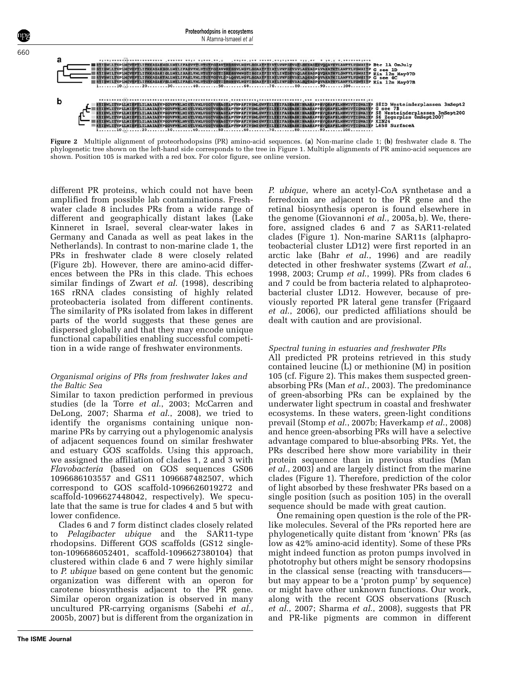<span id="page-4-0"></span>

Figure 2 Multiple alignment of proteorhodopsins (PR) amino-acid sequences. (a) Non-marine clade 1; (b) freshwater clade 8. The phylogenetic tree shown on the left-hand side corresponds to the tree in [Figure 1.](#page-3-0) Multiple alignments of PR amino-acid sequences are shown. Position 105 is marked with a red box. For color figure, see online version.

different PR proteins, which could not have been amplified from possible lab contaminations. Freshwater clade 8 includes PRs from a wide range of different and geographically distant lakes (Lake Kinneret in Israel, several clear-water lakes in Germany and Canada as well as peat lakes in the Netherlands). In contrast to non-marine clade 1, the PRs in freshwater clade 8 were closely related (Figure 2b). However, there are amino-acid differences between the PRs in this clade. This echoes similar findings of Zwart et al[. \(1998\)](#page-6-0), describing 16S rRNA clades consisting of highly related proteobacteria isolated from different continents. The similarity of PRs isolated from lakes in different parts of the world suggests that these genes are dispersed globally and that they may encode unique functional capabilities enabling successful competition in a wide range of freshwater environments.

#### Organismal origins of PRs from freshwater lakes and the Baltic Sea

Similar to taxon prediction performed in previous studies ([de la Torre](#page-5-0) et al., 2003; [McCarren and](#page-5-0) [DeLong, 2007](#page-5-0); [Sharma](#page-5-0) et al., 2008), we tried to identify the organisms containing unique nonmarine PRs by carrying out a phylogenomic analysis of adjacent sequences found on similar freshwater and estuary GOS scaffolds. Using this approach, we assigned the affiliation of clades 1, 2 and 3 with Flavobacteria (based on GOS sequences GS06 1096686103557 and GS11 1096687482507, which correspond to GOS scaffold-1096626019272 and scaffold-1096627448042, respectively). We speculate that the same is true for clades 4 and 5 but with lower confidence.

Clades 6 and 7 form distinct clades closely related to Pelagibacter ubique and the SAR11-type rhodopsins. Different GOS scaffolds (GS12 singleton-1096686052401, scaffold-1096627380104) that clustered within clade 6 and 7 were highly similar to P. ubique based on gene content but the genomic organization was different with an operon for carotene biosynthesis adjacent to the PR gene. Similar operon organization is observed in many uncultured PR-carrying organisms ([Sabehi](#page-5-0) et al., [2005b, 2007](#page-5-0)) but is different from the organization in

P. ubique, where an acetyl-CoA synthetase and a ferredoxin are adjacent to the PR gene and the retinal biosynthesis operon is found elsewhere in the genome [\(Giovannoni](#page-5-0) et al., 2005a, b). We, therefore, assigned clades 6 and 7 as SAR11-related clades [\(Figure 1\)](#page-3-0). Non-marine SAR11s (alphaproteobacterial cluster LD12) were first reported in an arctic lake (Bahr *et al.*, 1996) and are readily detected in other freshwater systems [\(Zwart](#page-6-0) *et al.*, [1998, 2003](#page-6-0); [Crump](#page-5-0) et al., 1999). PRs from clades 6 and 7 could be from bacteria related to alphaproteobacterial cluster LD12. However, because of previously reported PR lateral gene transfer [\(Frigaard](#page-5-0) et al[., 2006\)](#page-5-0), our predicted affiliations should be dealt with caution and are provisional.

## Spectral tuning in estuaries and freshwater PRs

All predicted PR proteins retrieved in this study contained leucine (L) or methionine (M) in position 105 (cf. Figure 2). This makes them suspected green-absorbing PRs (Man et al[., 2003](#page-5-0)). The predominance of green-absorbing PRs can be explained by the underwater light spectrum in coastal and freshwater ecosystems. In these waters, green-light conditions prevail (Stomp et al[., 2007b](#page-5-0); [Haverkamp](#page-5-0) et al., 2008) and hence green-absorbing PRs will have a selective advantage compared to blue-absorbing PRs. Yet, the PRs described here show more variability in their protein sequence than in previous studies [\(Man](#page-5-0) et al[., 2003\)](#page-5-0) and are largely distinct from the marine clades [\(Figure 1\)](#page-3-0). Therefore, prediction of the color of light absorbed by these freshwater PRs based on a single position (such as position 105) in the overall sequence should be made with great caution.

One remaining open question is the role of the PRlike molecules. Several of the PRs reported here are phylogenetically quite distant from 'known' PRs (as low as 42% amino-acid identity). Some of these PRs might indeed function as proton pumps involved in phototrophy but others might be sensory rhodopsins in the classical sense (reacting with transducers but may appear to be a 'proton pump' by sequence) or might have other unknown functions. Our work, along with the recent GOS observations [\(Rusch](#page-5-0) et al[., 2007](#page-5-0); [Sharma](#page-5-0) et al., 2008), suggests that PR and PR-like pigments are common in different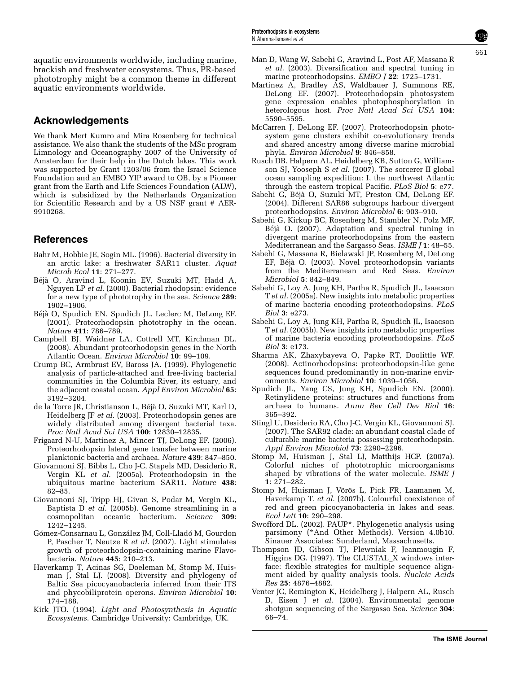<span id="page-5-0"></span>aquatic environments worldwide, including marine, brackish and freshwater ecosystems. Thus, PR-based phototrophy might be a common theme in different aquatic environments worldwide.

# Acknowledgements

We thank Mert Kumro and Mira Rosenberg for technical assistance. We also thank the students of the MSc program Limnology and Oceanography 2007 of the University of Amsterdam for their help in the Dutch lakes. This work was supported by Grant 1203/06 from the Israel Science Foundation and an EMBO YIP award to OB, by a Pioneer grant from the Earth and Life Sciences Foundation (ALW), which is subsidized by the Netherlands Organization for Scientific Research and by a US NSF grant # AER-9910268.

# **References**

- Bahr M, Hobbie JE, Sogin ML. (1996). Bacterial diversity in an arctic lake: a freshwater SAR11 cluster. Aquat Microb Ecol 11: 271–277.
- Béjà O, Aravind L, Koonin EV, Suzuki MT, Hadd A, Nguyen LP et al. (2000). Bacterial rhodopsin: evidence for a new type of phototrophy in the sea. Science 289: 1902–1906.
- Béjà O, Spudich EN, Spudich JL, Leclerc M, DeLong EF. (2001). Proteorhodopsin phototrophy in the ocean. Nature 411: 786–789.
- Campbell BJ, Waidner LA, Cottrell MT, Kirchman DL. (2008). Abundant proteorhodopsin genes in the North Atlantic Ocean. Environ Microbiol 10: 99–109.
- Crump BC, Armbrust EV, Baross JA. (1999). Phylogenetic analysis of particle-attached and free-living bacterial communities in the Columbia River, its estuary, and the adjacent coastal ocean. Appl Environ Microbiol 65: 3192–3204.
- de la Torre JR, Christianson L, Béjà O, Suzuki MT, Karl D, Heidelberg JF et al. (2003). Proteorhodopsin genes are widely distributed among divergent bacterial taxa. Proc Natl Acad Sci USA 100: 12830–12835.
- Frigaard N-U, Martinez A, Mincer TJ, DeLong EF. (2006). Proteorhodopsin lateral gene transfer between marine planktonic bacteria and archaea. Nature 439: 847–850.
- Giovannoni SJ, Bibbs L, Cho J-C, Stapels MD, Desiderio R, Vergin KL et al. (2005a). Proteorhodopsin in the ubiquitous marine bacterium SAR11. Nature 438: 82–85.
- Giovannoni SJ, Tripp HJ, Givan S, Podar M, Vergin KL, Baptista D et al. (2005b). Genome streamlining in a cosmopolitan oceanic bacterium. Science 309: 1242–1245.
- Gómez-Consarnau L, González JM, Coll-Lladó M, Gourdon P, Pascher T, Neutze R et al. (2007). Light stimulates growth of proteorhodopsin-containing marine Flavobacteria. Nature 445: 210–213.
- Haverkamp T, Acinas SG, Doeleman M, Stomp M, Huisman J, Stal LJ. (2008). Diversity and phylogeny of Baltic Sea picocyanobacteria inferred from their ITS and phycobiliprotein operons. Environ Microbiol 10: 174–188.
- Kirk JTO. (1994). Light and Photosynthesis in Aquatic Ecosystems. Cambridge University: Cambridge, UK.
- Man D, Wang W, Sabehi G, Aravind L, Post AF, Massana R et al. (2003). Diversification and spectral tuning in marine proteorhodopsins. EMBO J 22: 1725-1731.
- Martinez A, Bradley AS, Waldbauer J, Summons RE, DeLong EF. (2007). Proteorhodopsin photosystem gene expression enables photophosphorylation in heterologous host. Proc Natl Acad Sci USA 104: 5590–5595.
- McCarren J, DeLong EF. (2007). Proteorhodopsin photosystem gene clusters exhibit co-evolutionary trends and shared ancestry among diverse marine microbial phyla. Environ Microbiol 9: 846–858.
- Rusch DB, Halpern AL, Heidelberg KB, Sutton G, Williamson SJ, Yooseph S et al. (2007). The sorcerer II global ocean sampling expedition: I, the northwest Atlantic through the eastern tropical Pacific. PLoS Biol 5: e77.
- Sabehi G, Béjà O, Suzuki MT, Preston CM, DeLong EF. (2004). Different SAR86 subgroups harbour divergent proteorhodopsins. Environ Microbiol 6: 903–910.
- Sabehi G, Kirkup BC, Rosenberg M, Stambler N, Polz MF, Béjà O. (2007). Adaptation and spectral tuning in divergent marine proteorhodopsins from the eastern Mediterranean and the Sargasso Seas. *ISME J* 1: 48–55.
- Sabehi G, Massana R, Bielawski JP, Rosenberg M, DeLong EF, Béjà O. (2003). Novel proteorhodopsin variants from the Mediterranean and Red Seas. Environ Microbiol 5: 842–849.
- Sabehi G, Loy A, Jung KH, Partha R, Spudich JL, Isaacson Tet al. (2005a). New insights into metabolic properties of marine bacteria encoding proteorhodopsins. PLoS Biol 3: e273.
- Sabehi G, Loy A, Jung KH, Partha R, Spudich JL, Isaacson Tet al. (2005b). New insights into metabolic properties of marine bacteria encoding proteorhodopsins. PLoS Biol 3: e173.
- Sharma AK, Zhaxybayeva O, Papke RT, Doolittle WF. (2008). Actinorhodopsins: proteorhodopsin-like gene sequences found predominantly in non-marine environments. Environ Microbiol 10: 1039–1056.
- Spudich JL, Yang CS, Jung KH, Spudich EN. (2000). Retinylidene proteins: structures and functions from archaea to humans. Annu Rev Cell Dev Biol 16: 365–392.
- Stingl U, Desiderio RA, Cho J-C, Vergin KL, Giovannoni SJ. (2007). The SAR92 clade: an abundant coastal clade of culturable marine bacteria possessing proteorhodopsin. Appl Environ Microbiol 73: 2290–2296.
- Stomp M, Huisman J, Stal LJ, Matthijs HCP. (2007a). Colorful niches of phototrophic microorganisms shaped by vibrations of the water molecule. ISME J 1: 271–282.
- Stomp M, Huisman J, Vörös L, Pick FR, Laamanen M, Haverkamp T. et al. (2007b). Colourful coexistence of red and green picocyanobacteria in lakes and seas. Ecol Lett 10: 290–298.
- Swofford DL. (2002). PAUP\*. Phylogenetic analysis using parsimony (\*And Other Methods). Version 4.0b10. Sinauer Associates: Sunderland, Massachusetts.
- Thompson JD, Gibson TJ, Plewniak F, Jeanmougin F, Higgins DG. (1997). The CLUSTAL\_X windows interface: flexible strategies for multiple sequence alignment aided by quality analysis tools. Nucleic Acids Res 25: 4876–4882.
- Venter JC, Remington K, Heidelberg J, Halpern AL, Rusch D, Eisen J et al. (2004). Environmental genome shotgun sequencing of the Sargasso Sea. Science 304: 66–74.